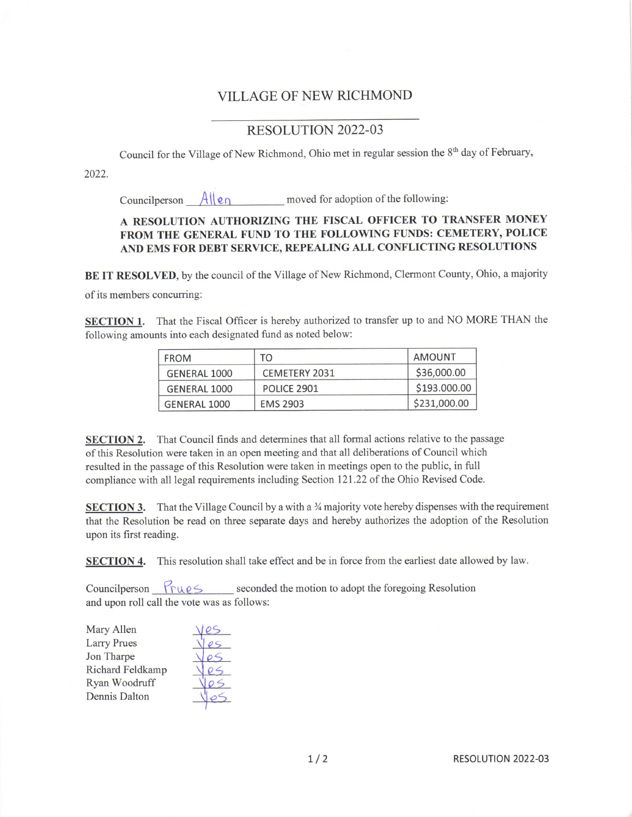## VILLAGE OF NEW RICHMOND

## RESOLUTION 2022-03

Council for the Village of New Richmond, Ohio met in regular session the  $8<sup>th</sup>$  day of February

2022.

Councilperson  $\mathcal{A}||e_{n}$  moved for adoption of the following:

## A RESOLUTION AUTHORIZING THE FISCAL OFFICER TO TRANSFER MONEY FROM THE GENERAL FUND TO THE FOLLOWING FUNDS: CEMETERY, POLICE AND EMS FOR DEBT SERVICE, REPEALING ALL CONFLICTING RESOLUTIONS

BE IT RESOLVED, by the council of the Village of New Richmond, Clermont County, Ohio, a majority of its members concurring:

**SECTION 1.** That the Fiscal Officer is hereby authorized to transfer up to and NO MORE THAN the following amounts into each designated fund as noted below:

| <b>FROM</b>  | TO                 | AMOUNT       |
|--------------|--------------------|--------------|
| GENERAL 1000 | CEMETERY 2031      | \$36,000.00  |
| GENERAL 1000 | <b>POLICE 2901</b> | \$193.000.00 |
| GENERAL 1000 | <b>EMS 2903</b>    | \$231,000.00 |

SECTION 2. That Council finds and determines that all formal actions relative to the passage of this Resolution were taken in an open meeting and that all deliberations of Council which resulted in the passage of this Resolution were taken in meetings open to the public, in full compliance with all legal requirements including Section 121. 22 of the Ohio Revised Code.

**SECTION 3.** That the Village Council by a with a <sup>3</sup>/4 majority vote hereby dispenses with the requirement that the Resolution be read on three separate days and hereby authorizes the adoption of the Resolution upon its first reading.

SECTION 4. This resolution shall take effect and be in force from the earliest date allowed by law.

Councilperson  $\bigcap_{\alpha\in\mathcal{C}}\mathcal{C}$  seconded the motion to adopt the foregoing Resolution and upon roll call the vote was as follows:

Mary Allen e Larry Prues Jon Tharpe Richard Feldkamp Jon Tharpe<br>
Richard Feldkamp<br>
Ryan Woodruff  $\sqrt{\frac{\rho}{\rho}}$ Dennis Dalton